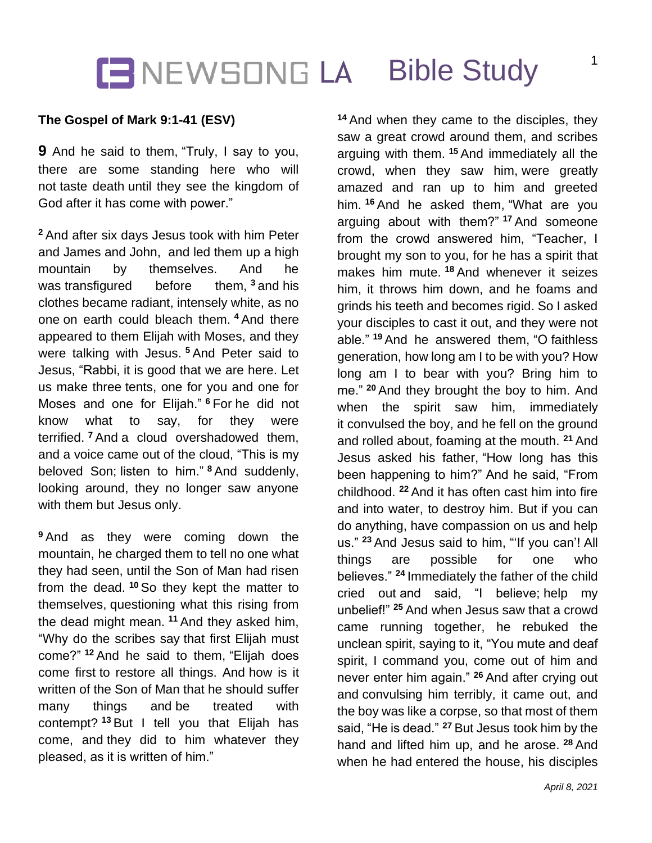### **IENEWSONG LA Bible Study**

### **The Gospel of Mark 9:1-41 (ESV)**

**9** And he said to them, "Truly, I say to you, there are some standing here who will not taste death until they see the kingdom of God after it has come with power."

**<sup>2</sup>** And after six days Jesus took with him Peter and James and John, and led them up a high mountain by themselves. And he was transfigured before them, **<sup>3</sup>** and his clothes became radiant, intensely white, as no one on earth could bleach them. **<sup>4</sup>** And there appeared to them Elijah with Moses, and they were talking with Jesus. **<sup>5</sup>** And Peter said to Jesus, "Rabbi, it is good that we are here. Let us make three tents, one for you and one for Moses and one for Elijah." **<sup>6</sup>** For he did not know what to say, for they were terrified. **<sup>7</sup>** And a cloud overshadowed them, and a voice came out of the cloud, "This is my beloved Son; listen to him." **<sup>8</sup>** And suddenly, looking around, they no longer saw anyone with them but Jesus only.

**<sup>9</sup>** And as they were coming down the mountain, he charged them to tell no one what they had seen, until the Son of Man had risen from the dead. **<sup>10</sup>** So they kept the matter to themselves, questioning what this rising from the dead might mean. **<sup>11</sup>** And they asked him, "Why do the scribes say that first Elijah must come?" **<sup>12</sup>** And he said to them, "Elijah does come first to restore all things. And how is it written of the Son of Man that he should suffer many things and be treated with contempt? **<sup>13</sup>** But I tell you that Elijah has come, and they did to him whatever they pleased, as it is written of him."

**<sup>14</sup>** And when they came to the disciples, they saw a great crowd around them, and scribes arguing with them. **<sup>15</sup>** And immediately all the crowd, when they saw him, were greatly amazed and ran up to him and greeted him. **<sup>16</sup>** And he asked them, "What are you arguing about with them?" **<sup>17</sup>** And someone from the crowd answered him, "Teacher, I brought my son to you, for he has a spirit that makes him mute. **<sup>18</sup>** And whenever it seizes him, it throws him down, and he foams and grinds his teeth and becomes rigid. So I asked your disciples to cast it out, and they were not able." **<sup>19</sup>** And he answered them, "O faithless generation, how long am I to be with you? How long am I to bear with you? Bring him to me." **<sup>20</sup>** And they brought the boy to him. And when the spirit saw him, immediately it convulsed the boy, and he fell on the ground and rolled about, foaming at the mouth. **<sup>21</sup>** And Jesus asked his father, "How long has this been happening to him?" And he said, "From childhood. **<sup>22</sup>** And it has often cast him into fire and into water, to destroy him. But if you can do anything, have compassion on us and help us." **<sup>23</sup>** And Jesus said to him, "'If you can'! All things are possible for one who believes." **<sup>24</sup>** Immediately the father of the child cried out and said, "I believe; help my unbelief!" **<sup>25</sup>** And when Jesus saw that a crowd came running together, he rebuked the unclean spirit, saying to it, "You mute and deaf spirit, I command you, come out of him and never enter him again." **<sup>26</sup>** And after crying out and convulsing him terribly, it came out, and the boy was like a corpse, so that most of them said, "He is dead." **<sup>27</sup>** But Jesus took him by the hand and lifted him up, and he arose. **<sup>28</sup>** And when he had entered the house, his disciples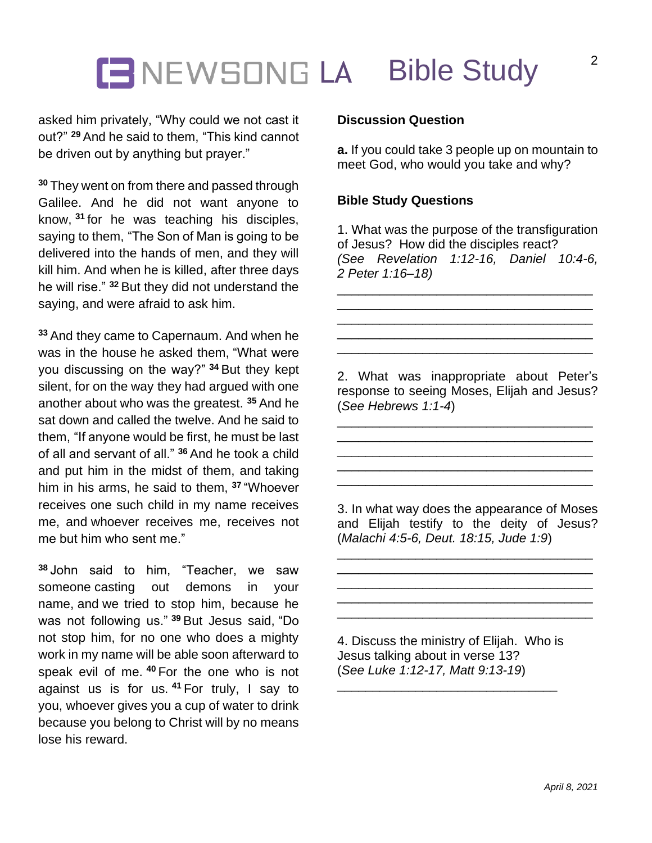# **ENEWSONG LA Bible Study**

asked him privately, "Why could we not cast it out?" **<sup>29</sup>** And he said to them, "This kind cannot be driven out by anything but prayer."

**<sup>30</sup>** They went on from there and passed through Galilee. And he did not want anyone to know, **<sup>31</sup>** for he was teaching his disciples, saying to them, "The Son of Man is going to be delivered into the hands of men, and they will kill him. And when he is killed, after three days he will rise." **<sup>32</sup>** But they did not understand the saying, and were afraid to ask him.

**<sup>33</sup>** And they came to Capernaum. And when he was in the house he asked them, "What were you discussing on the way?" **<sup>34</sup>** But they kept silent, for on the way they had argued with one another about who was the greatest. **<sup>35</sup>** And he sat down and called the twelve. And he said to them, "If anyone would be first, he must be last of all and servant of all." **<sup>36</sup>** And he took a child and put him in the midst of them, and taking him in his arms, he said to them, **<sup>37</sup>** "Whoever receives one such child in my name receives me, and whoever receives me, receives not me but him who sent me."

**<sup>38</sup>** John said to him, "Teacher, we saw someone casting out demons in your name, and we tried to stop him, because he was not following us." **<sup>39</sup>** But Jesus said, "Do not stop him, for no one who does a mighty work in my name will be able soon afterward to speak evil of me. **<sup>40</sup>** For the one who is not against us is for us. **<sup>41</sup>** For truly, I say to you, whoever gives you a cup of water to drink because you belong to Christ will by no means lose his reward.

#### **Discussion Question**

**a.** If you could take 3 people up on mountain to meet God, who would you take and why?

#### **Bible Study Questions**

1. What was the purpose of the transfiguration of Jesus? How did the disciples react? *(See Revelation 1:12-16, Daniel 10:4-6, 2 Peter 1:16–18)*

\_\_\_\_\_\_\_\_\_\_\_\_\_\_\_\_\_\_\_\_\_\_\_\_\_\_\_\_\_\_\_\_\_\_\_\_ \_\_\_\_\_\_\_\_\_\_\_\_\_\_\_\_\_\_\_\_\_\_\_\_\_\_\_\_\_\_\_\_\_\_\_\_ \_\_\_\_\_\_\_\_\_\_\_\_\_\_\_\_\_\_\_\_\_\_\_\_\_\_\_\_\_\_\_\_\_\_\_\_ \_\_\_\_\_\_\_\_\_\_\_\_\_\_\_\_\_\_\_\_\_\_\_\_\_\_\_\_\_\_\_\_\_\_\_\_ \_\_\_\_\_\_\_\_\_\_\_\_\_\_\_\_\_\_\_\_\_\_\_\_\_\_\_\_\_\_\_\_\_\_\_\_

2. What was inappropriate about Peter's response to seeing Moses, Elijah and Jesus? (*See Hebrews 1:1-4*)

\_\_\_\_\_\_\_\_\_\_\_\_\_\_\_\_\_\_\_\_\_\_\_\_\_\_\_\_\_\_\_\_\_\_\_\_ \_\_\_\_\_\_\_\_\_\_\_\_\_\_\_\_\_\_\_\_\_\_\_\_\_\_\_\_\_\_\_\_\_\_\_\_ \_\_\_\_\_\_\_\_\_\_\_\_\_\_\_\_\_\_\_\_\_\_\_\_\_\_\_\_\_\_\_\_\_\_\_\_ \_\_\_\_\_\_\_\_\_\_\_\_\_\_\_\_\_\_\_\_\_\_\_\_\_\_\_\_\_\_\_\_\_\_\_\_ \_\_\_\_\_\_\_\_\_\_\_\_\_\_\_\_\_\_\_\_\_\_\_\_\_\_\_\_\_\_\_\_\_\_\_\_

3. In what way does the appearance of Moses and Elijah testify to the deity of Jesus? (*Malachi 4:5-6, Deut. 18:15, Jude 1:9*)

\_\_\_\_\_\_\_\_\_\_\_\_\_\_\_\_\_\_\_\_\_\_\_\_\_\_\_\_\_\_\_\_\_\_\_\_ \_\_\_\_\_\_\_\_\_\_\_\_\_\_\_\_\_\_\_\_\_\_\_\_\_\_\_\_\_\_\_\_\_\_\_\_ \_\_\_\_\_\_\_\_\_\_\_\_\_\_\_\_\_\_\_\_\_\_\_\_\_\_\_\_\_\_\_\_\_\_\_\_ \_\_\_\_\_\_\_\_\_\_\_\_\_\_\_\_\_\_\_\_\_\_\_\_\_\_\_\_\_\_\_\_\_\_\_\_ \_\_\_\_\_\_\_\_\_\_\_\_\_\_\_\_\_\_\_\_\_\_\_\_\_\_\_\_\_\_\_\_\_\_\_\_

4. Discuss the ministry of Elijah. Who is Jesus talking about in verse 13? (*See Luke 1:12-17, Matt 9:13-19*)

\_\_\_\_\_\_\_\_\_\_\_\_\_\_\_\_\_\_\_\_\_\_\_\_\_\_\_\_\_\_\_